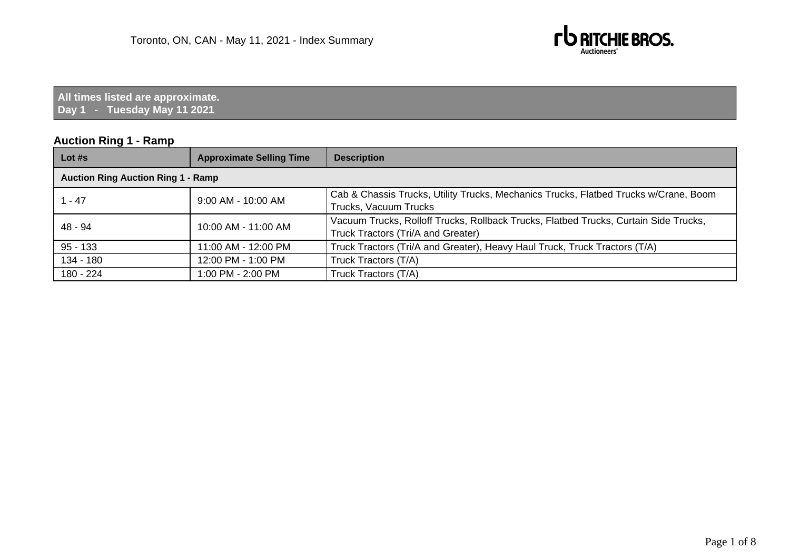

**All times listed are approximate. Day 1 - Tuesday May 11 2021**

## **Auction Ring 1 - Ramp**

| Lot #s                                    | <b>Approximate Selling Time</b> | <b>Description</b>                                                                                                         |
|-------------------------------------------|---------------------------------|----------------------------------------------------------------------------------------------------------------------------|
| <b>Auction Ring Auction Ring 1 - Ramp</b> |                                 |                                                                                                                            |
| $1 - 47$                                  | $9:00$ AM - 10:00 AM            | Cab & Chassis Trucks, Utility Trucks, Mechanics Trucks, Flatbed Trucks w/Crane, Boom<br>Trucks, Vacuum Trucks              |
| 48 - 94                                   | 10:00 AM - 11:00 AM             | Vacuum Trucks, Rolloff Trucks, Rollback Trucks, Flatbed Trucks, Curtain Side Trucks,<br>Truck Tractors (Tri/A and Greater) |
| $95 - 133$                                | 11:00 AM - 12:00 PM             | Truck Tractors (Tri/A and Greater), Heavy Haul Truck, Truck Tractors (T/A)                                                 |
| $134 - 180$                               | 12:00 PM - 1:00 PM              | Truck Tractors (T/A)                                                                                                       |
| 180 - 224                                 | 1:00 PM - 2:00 PM               | Truck Tractors (T/A)                                                                                                       |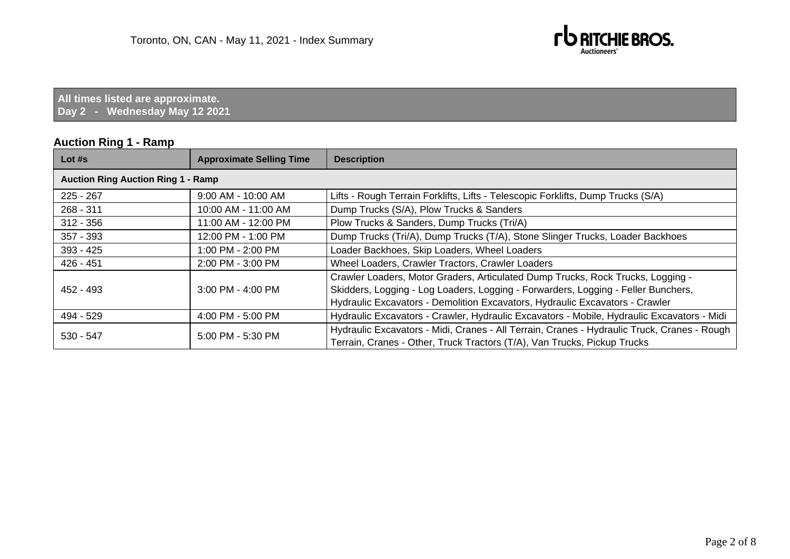

**All times listed are approximate. Day 2 - Wednesday May 12 2021**

#### **Auction Ring 1 - Ramp**

| Lot $#s$                                  | <b>Approximate Selling Time</b> | <b>Description</b>                                                                          |  |
|-------------------------------------------|---------------------------------|---------------------------------------------------------------------------------------------|--|
| <b>Auction Ring Auction Ring 1 - Ramp</b> |                                 |                                                                                             |  |
| $225 - 267$                               | 9:00 AM - 10:00 AM              | Lifts - Rough Terrain Forklifts, Lifts - Telescopic Forklifts, Dump Trucks (S/A)            |  |
| $268 - 311$                               | 10:00 AM - 11:00 AM             | Dump Trucks (S/A), Plow Trucks & Sanders                                                    |  |
| $312 - 356$                               | 11:00 AM - 12:00 PM             | Plow Trucks & Sanders, Dump Trucks (Tri/A)                                                  |  |
| 357 - 393                                 | 12:00 PM - 1:00 PM              | Dump Trucks (Tri/A), Dump Trucks (T/A), Stone Slinger Trucks, Loader Backhoes               |  |
| $393 - 425$                               | 1:00 PM - 2:00 PM               | Loader Backhoes, Skip Loaders, Wheel Loaders                                                |  |
| 426 - 451                                 | 2:00 PM - 3:00 PM               | Wheel Loaders, Crawler Tractors, Crawler Loaders                                            |  |
|                                           |                                 | Crawler Loaders, Motor Graders, Articulated Dump Trucks, Rock Trucks, Logging -             |  |
| 452 - 493                                 | 3:00 PM - 4:00 PM               | Skidders, Logging - Log Loaders, Logging - Forwarders, Logging - Feller Bunchers,           |  |
|                                           |                                 | Hydraulic Excavators - Demolition Excavators, Hydraulic Excavators - Crawler                |  |
| 494 - 529                                 | 4:00 PM - 5:00 PM               | Hydraulic Excavators - Crawler, Hydraulic Excavators - Mobile, Hydraulic Excavators - Midi  |  |
| $530 - 547$                               | 5:00 PM - 5:30 PM               | Hydraulic Excavators - Midi, Cranes - All Terrain, Cranes - Hydraulic Truck, Cranes - Rough |  |
|                                           |                                 | Terrain, Cranes - Other, Truck Tractors (T/A), Van Trucks, Pickup Trucks                    |  |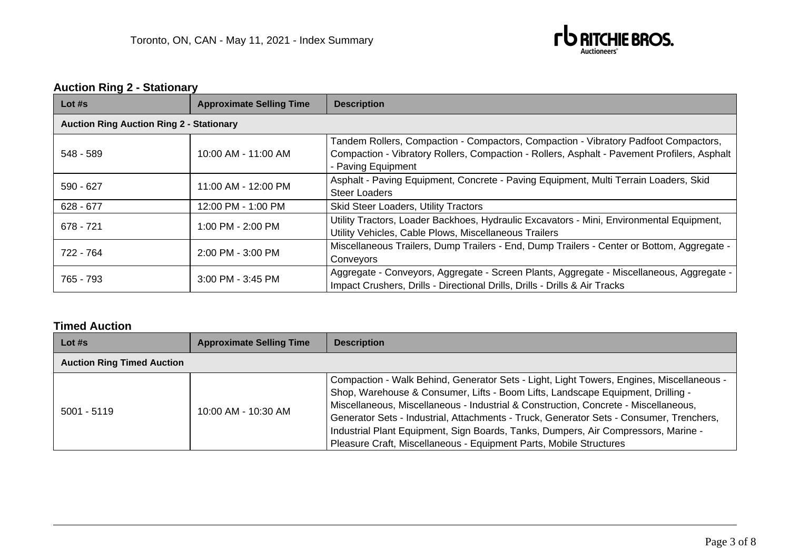

# **Auction Ring 2 - Stationary**

| Lot $#s$                                        | <b>Approximate Selling Time</b> | <b>Description</b>                                                                                                                                                                                       |
|-------------------------------------------------|---------------------------------|----------------------------------------------------------------------------------------------------------------------------------------------------------------------------------------------------------|
| <b>Auction Ring Auction Ring 2 - Stationary</b> |                                 |                                                                                                                                                                                                          |
| 548 - 589                                       | 10:00 AM - 11:00 AM             | Tandem Rollers, Compaction - Compactors, Compaction - Vibratory Padfoot Compactors,<br>Compaction - Vibratory Rollers, Compaction - Rollers, Asphalt - Pavement Profilers, Asphalt<br>- Paving Equipment |
| 590 - 627                                       | 11:00 AM - 12:00 PM             | Asphalt - Paving Equipment, Concrete - Paving Equipment, Multi Terrain Loaders, Skid<br><b>Steer Loaders</b>                                                                                             |
| $628 - 677$                                     | 12:00 PM - 1:00 PM              | <b>Skid Steer Loaders, Utility Tractors</b>                                                                                                                                                              |
| 678 - 721                                       | 1:00 PM - 2:00 PM               | Utility Tractors, Loader Backhoes, Hydraulic Excavators - Mini, Environmental Equipment,<br>Utility Vehicles, Cable Plows, Miscellaneous Trailers                                                        |
| 722 - 764                                       | 2:00 PM - 3:00 PM               | Miscellaneous Trailers, Dump Trailers - End, Dump Trailers - Center or Bottom, Aggregate -<br>Conveyors                                                                                                  |
| 765 - 793                                       | 3:00 PM - 3:45 PM               | Aggregate - Conveyors, Aggregate - Screen Plants, Aggregate - Miscellaneous, Aggregate -<br>Impact Crushers, Drills - Directional Drills, Drills - Drills & Air Tracks                                   |

## **Timed Auction**

| Lot $#s$                          | <b>Approximate Selling Time</b> | <b>Description</b>                                                                                                                                                                                                                                                                                                                                                                                                                                                                                                        |
|-----------------------------------|---------------------------------|---------------------------------------------------------------------------------------------------------------------------------------------------------------------------------------------------------------------------------------------------------------------------------------------------------------------------------------------------------------------------------------------------------------------------------------------------------------------------------------------------------------------------|
| <b>Auction Ring Timed Auction</b> |                                 |                                                                                                                                                                                                                                                                                                                                                                                                                                                                                                                           |
| $5001 - 5119$                     | 10:00 AM - 10:30 AM             | Compaction - Walk Behind, Generator Sets - Light, Light Towers, Engines, Miscellaneous -<br>Shop, Warehouse & Consumer, Lifts - Boom Lifts, Landscape Equipment, Drilling -<br>Miscellaneous, Miscellaneous - Industrial & Construction, Concrete - Miscellaneous,<br>Generator Sets - Industrial, Attachments - Truck, Generator Sets - Consumer, Trenchers,<br>Industrial Plant Equipment, Sign Boards, Tanks, Dumpers, Air Compressors, Marine -<br>Pleasure Craft, Miscellaneous - Equipment Parts, Mobile Structures |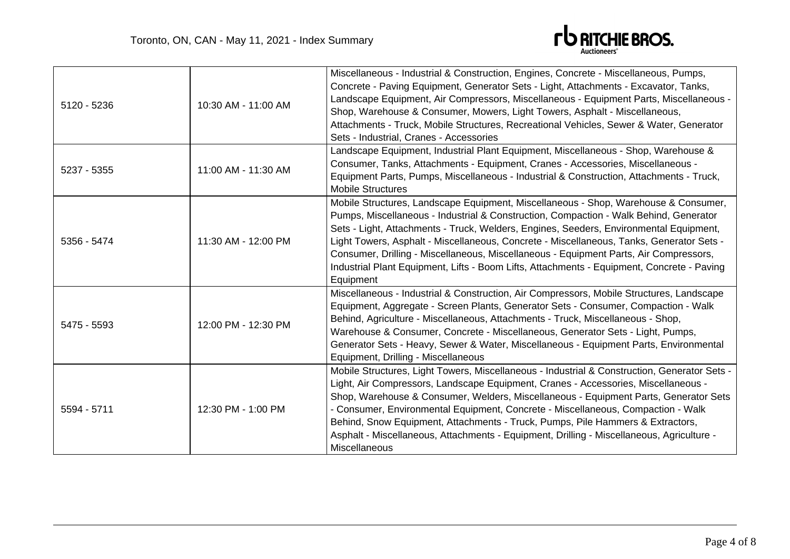

| 5120 - 5236 | 10:30 AM - 11:00 AM | Miscellaneous - Industrial & Construction, Engines, Concrete - Miscellaneous, Pumps,<br>Concrete - Paving Equipment, Generator Sets - Light, Attachments - Excavator, Tanks,<br>Landscape Equipment, Air Compressors, Miscellaneous - Equipment Parts, Miscellaneous -<br>Shop, Warehouse & Consumer, Mowers, Light Towers, Asphalt - Miscellaneous,<br>Attachments - Truck, Mobile Structures, Recreational Vehicles, Sewer & Water, Generator<br>Sets - Industrial, Cranes - Accessories                                                                             |
|-------------|---------------------|------------------------------------------------------------------------------------------------------------------------------------------------------------------------------------------------------------------------------------------------------------------------------------------------------------------------------------------------------------------------------------------------------------------------------------------------------------------------------------------------------------------------------------------------------------------------|
| 5237 - 5355 | 11:00 AM - 11:30 AM | Landscape Equipment, Industrial Plant Equipment, Miscellaneous - Shop, Warehouse &<br>Consumer, Tanks, Attachments - Equipment, Cranes - Accessories, Miscellaneous -<br>Equipment Parts, Pumps, Miscellaneous - Industrial & Construction, Attachments - Truck,<br><b>Mobile Structures</b>                                                                                                                                                                                                                                                                           |
| 5356 - 5474 | 11:30 AM - 12:00 PM | Mobile Structures, Landscape Equipment, Miscellaneous - Shop, Warehouse & Consumer,<br>Pumps, Miscellaneous - Industrial & Construction, Compaction - Walk Behind, Generator<br>Sets - Light, Attachments - Truck, Welders, Engines, Seeders, Environmental Equipment,<br>Light Towers, Asphalt - Miscellaneous, Concrete - Miscellaneous, Tanks, Generator Sets -<br>Consumer, Drilling - Miscellaneous, Miscellaneous - Equipment Parts, Air Compressors,<br>Industrial Plant Equipment, Lifts - Boom Lifts, Attachments - Equipment, Concrete - Paving<br>Equipment |
| 5475 - 5593 | 12:00 PM - 12:30 PM | Miscellaneous - Industrial & Construction, Air Compressors, Mobile Structures, Landscape<br>Equipment, Aggregate - Screen Plants, Generator Sets - Consumer, Compaction - Walk<br>Behind, Agriculture - Miscellaneous, Attachments - Truck, Miscellaneous - Shop,<br>Warehouse & Consumer, Concrete - Miscellaneous, Generator Sets - Light, Pumps,<br>Generator Sets - Heavy, Sewer & Water, Miscellaneous - Equipment Parts, Environmental<br>Equipment, Drilling - Miscellaneous                                                                                    |
| 5594 - 5711 | 12:30 PM - 1:00 PM  | Mobile Structures, Light Towers, Miscellaneous - Industrial & Construction, Generator Sets -<br>Light, Air Compressors, Landscape Equipment, Cranes - Accessories, Miscellaneous -<br>Shop, Warehouse & Consumer, Welders, Miscellaneous - Equipment Parts, Generator Sets<br>- Consumer, Environmental Equipment, Concrete - Miscellaneous, Compaction - Walk<br>Behind, Snow Equipment, Attachments - Truck, Pumps, Pile Hammers & Extractors,<br>Asphalt - Miscellaneous, Attachments - Equipment, Drilling - Miscellaneous, Agriculture -<br>Miscellaneous         |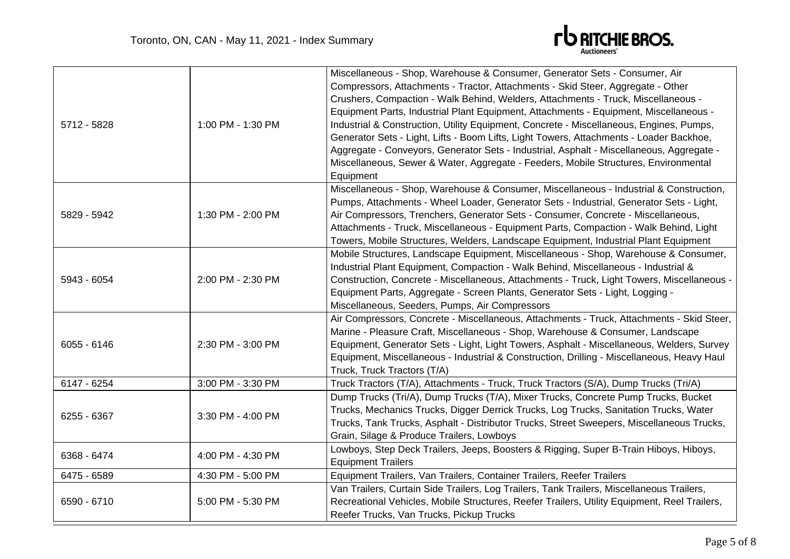

| 5712 - 5828   | 1:00 PM - 1:30 PM | Miscellaneous - Shop, Warehouse & Consumer, Generator Sets - Consumer, Air<br>Compressors, Attachments - Tractor, Attachments - Skid Steer, Aggregate - Other<br>Crushers, Compaction - Walk Behind, Welders, Attachments - Truck, Miscellaneous -<br>Equipment Parts, Industrial Plant Equipment, Attachments - Equipment, Miscellaneous -<br>Industrial & Construction, Utility Equipment, Concrete - Miscellaneous, Engines, Pumps,<br>Generator Sets - Light, Lifts - Boom Lifts, Light Towers, Attachments - Loader Backhoe,<br>Aggregate - Conveyors, Generator Sets - Industrial, Asphalt - Miscellaneous, Aggregate -<br>Miscellaneous, Sewer & Water, Aggregate - Feeders, Mobile Structures, Environmental<br>Equipment |
|---------------|-------------------|-----------------------------------------------------------------------------------------------------------------------------------------------------------------------------------------------------------------------------------------------------------------------------------------------------------------------------------------------------------------------------------------------------------------------------------------------------------------------------------------------------------------------------------------------------------------------------------------------------------------------------------------------------------------------------------------------------------------------------------|
| 5829 - 5942   | 1:30 PM - 2:00 PM | Miscellaneous - Shop, Warehouse & Consumer, Miscellaneous - Industrial & Construction,<br>Pumps, Attachments - Wheel Loader, Generator Sets - Industrial, Generator Sets - Light,<br>Air Compressors, Trenchers, Generator Sets - Consumer, Concrete - Miscellaneous,<br>Attachments - Truck, Miscellaneous - Equipment Parts, Compaction - Walk Behind, Light<br>Towers, Mobile Structures, Welders, Landscape Equipment, Industrial Plant Equipment                                                                                                                                                                                                                                                                             |
| 5943 - 6054   | 2:00 PM - 2:30 PM | Mobile Structures, Landscape Equipment, Miscellaneous - Shop, Warehouse & Consumer,<br>Industrial Plant Equipment, Compaction - Walk Behind, Miscellaneous - Industrial &<br>Construction, Concrete - Miscellaneous, Attachments - Truck, Light Towers, Miscellaneous -<br>Equipment Parts, Aggregate - Screen Plants, Generator Sets - Light, Logging -<br>Miscellaneous, Seeders, Pumps, Air Compressors                                                                                                                                                                                                                                                                                                                        |
| $6055 - 6146$ | 2:30 PM - 3:00 PM | Air Compressors, Concrete - Miscellaneous, Attachments - Truck, Attachments - Skid Steer,<br>Marine - Pleasure Craft, Miscellaneous - Shop, Warehouse & Consumer, Landscape<br>Equipment, Generator Sets - Light, Light Towers, Asphalt - Miscellaneous, Welders, Survey<br>Equipment, Miscellaneous - Industrial & Construction, Drilling - Miscellaneous, Heavy Haul<br>Truck, Truck Tractors (T/A)                                                                                                                                                                                                                                                                                                                             |
| 6147 - 6254   | 3:00 PM - 3:30 PM | Truck Tractors (T/A), Attachments - Truck, Truck Tractors (S/A), Dump Trucks (Tri/A)                                                                                                                                                                                                                                                                                                                                                                                                                                                                                                                                                                                                                                              |
| 6255 - 6367   | 3:30 PM - 4:00 PM | Dump Trucks (Tri/A), Dump Trucks (T/A), Mixer Trucks, Concrete Pump Trucks, Bucket<br>Trucks, Mechanics Trucks, Digger Derrick Trucks, Log Trucks, Sanitation Trucks, Water<br>Trucks, Tank Trucks, Asphalt - Distributor Trucks, Street Sweepers, Miscellaneous Trucks,<br>Grain, Silage & Produce Trailers, Lowboys                                                                                                                                                                                                                                                                                                                                                                                                             |
| 6368 - 6474   | 4:00 PM - 4:30 PM | Lowboys, Step Deck Trailers, Jeeps, Boosters & Rigging, Super B-Train Hiboys, Hiboys,<br><b>Equipment Trailers</b>                                                                                                                                                                                                                                                                                                                                                                                                                                                                                                                                                                                                                |
| 6475 - 6589   | 4:30 PM - 5:00 PM | Equipment Trailers, Van Trailers, Container Trailers, Reefer Trailers                                                                                                                                                                                                                                                                                                                                                                                                                                                                                                                                                                                                                                                             |
| 6590 - 6710   | 5:00 PM - 5:30 PM | Van Trailers, Curtain Side Trailers, Log Trailers, Tank Trailers, Miscellaneous Trailers,<br>Recreational Vehicles, Mobile Structures, Reefer Trailers, Utility Equipment, Reel Trailers,<br>Reefer Trucks, Van Trucks, Pickup Trucks                                                                                                                                                                                                                                                                                                                                                                                                                                                                                             |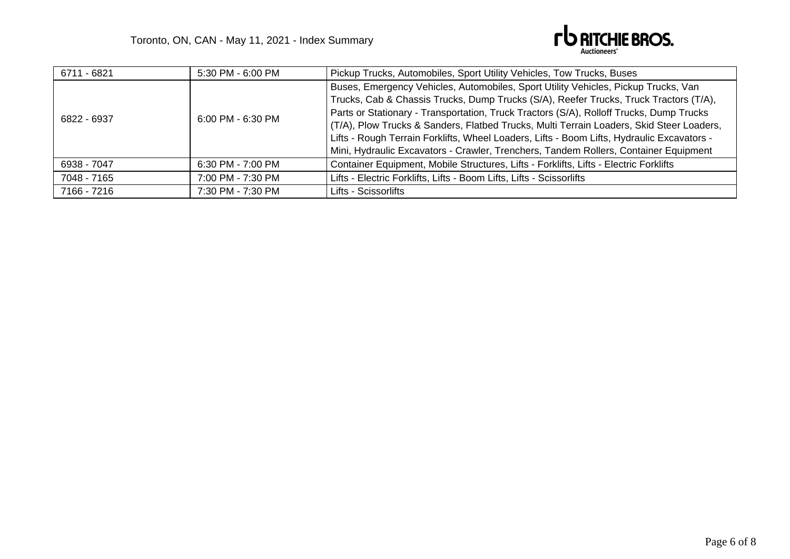

| 6711 - 6821 | 5:30 PM - 6:00 PM     | Pickup Trucks, Automobiles, Sport Utility Vehicles, Tow Trucks, Buses                                                                                                                                                                                                                                                                                                                                                                                                                                                                                    |
|-------------|-----------------------|----------------------------------------------------------------------------------------------------------------------------------------------------------------------------------------------------------------------------------------------------------------------------------------------------------------------------------------------------------------------------------------------------------------------------------------------------------------------------------------------------------------------------------------------------------|
| 6822 - 6937 | $6:00$ PM - $6:30$ PM | Buses, Emergency Vehicles, Automobiles, Sport Utility Vehicles, Pickup Trucks, Van<br>Trucks, Cab & Chassis Trucks, Dump Trucks (S/A), Reefer Trucks, Truck Tractors (T/A),<br>Parts or Stationary - Transportation, Truck Tractors (S/A), Rolloff Trucks, Dump Trucks<br>(T/A), Plow Trucks & Sanders, Flatbed Trucks, Multi Terrain Loaders, Skid Steer Loaders,<br>Lifts - Rough Terrain Forklifts, Wheel Loaders, Lifts - Boom Lifts, Hydraulic Excavators -<br>Mini, Hydraulic Excavators - Crawler, Trenchers, Tandem Rollers, Container Equipment |
| 6938 - 7047 | 6:30 PM - 7:00 PM     | Container Equipment, Mobile Structures, Lifts - Forklifts, Lifts - Electric Forklifts                                                                                                                                                                                                                                                                                                                                                                                                                                                                    |
| 7048 - 7165 | 7:00 PM - 7:30 PM     | Lifts - Electric Forklifts, Lifts - Boom Lifts, Lifts - Scissorlifts                                                                                                                                                                                                                                                                                                                                                                                                                                                                                     |
| 7166 - 7216 | 7:30 PM - 7:30 PM     | Lifts - Scissorlifts                                                                                                                                                                                                                                                                                                                                                                                                                                                                                                                                     |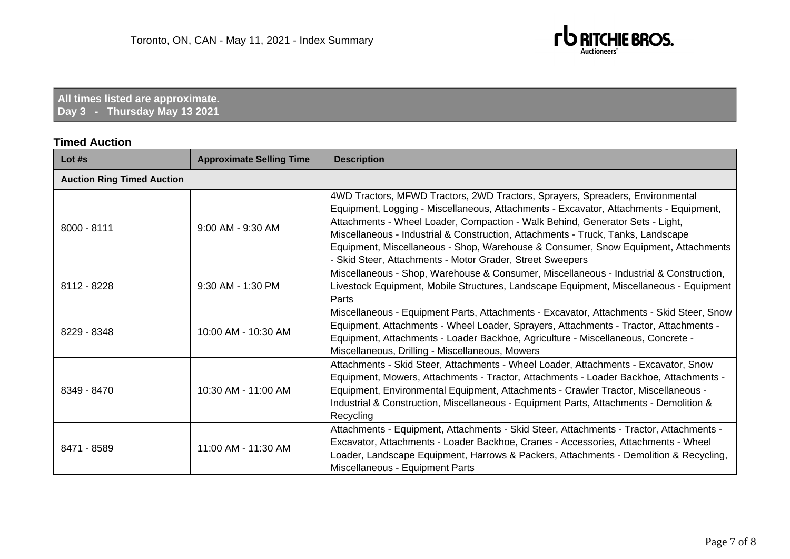

**All times listed are approximate. Day 3 - Thursday May 13 2021**

### **Timed Auction**

| Lot #s                            | <b>Approximate Selling Time</b> | <b>Description</b>                                                                                                                                                                                                                                                                                                                                                                                                                                                                             |  |  |
|-----------------------------------|---------------------------------|------------------------------------------------------------------------------------------------------------------------------------------------------------------------------------------------------------------------------------------------------------------------------------------------------------------------------------------------------------------------------------------------------------------------------------------------------------------------------------------------|--|--|
| <b>Auction Ring Timed Auction</b> |                                 |                                                                                                                                                                                                                                                                                                                                                                                                                                                                                                |  |  |
| $8000 - 8111$                     | $9:00$ AM - $9:30$ AM           | 4WD Tractors, MFWD Tractors, 2WD Tractors, Sprayers, Spreaders, Environmental<br>Equipment, Logging - Miscellaneous, Attachments - Excavator, Attachments - Equipment,<br>Attachments - Wheel Loader, Compaction - Walk Behind, Generator Sets - Light,<br>Miscellaneous - Industrial & Construction, Attachments - Truck, Tanks, Landscape<br>Equipment, Miscellaneous - Shop, Warehouse & Consumer, Snow Equipment, Attachments<br>- Skid Steer, Attachments - Motor Grader, Street Sweepers |  |  |
| 8112 - 8228                       | 9:30 AM - 1:30 PM               | Miscellaneous - Shop, Warehouse & Consumer, Miscellaneous - Industrial & Construction,<br>Livestock Equipment, Mobile Structures, Landscape Equipment, Miscellaneous - Equipment<br>Parts                                                                                                                                                                                                                                                                                                      |  |  |
| 8229 - 8348                       | 10:00 AM - 10:30 AM             | Miscellaneous - Equipment Parts, Attachments - Excavator, Attachments - Skid Steer, Snow<br>Equipment, Attachments - Wheel Loader, Sprayers, Attachments - Tractor, Attachments -<br>Equipment, Attachments - Loader Backhoe, Agriculture - Miscellaneous, Concrete -<br>Miscellaneous, Drilling - Miscellaneous, Mowers                                                                                                                                                                       |  |  |
| 8349 - 8470                       | 10:30 AM - 11:00 AM             | Attachments - Skid Steer, Attachments - Wheel Loader, Attachments - Excavator, Snow<br>Equipment, Mowers, Attachments - Tractor, Attachments - Loader Backhoe, Attachments -<br>Equipment, Environmental Equipment, Attachments - Crawler Tractor, Miscellaneous -<br>Industrial & Construction, Miscellaneous - Equipment Parts, Attachments - Demolition &<br>Recycling                                                                                                                      |  |  |
| 8471 - 8589                       | 11:00 AM - 11:30 AM             | Attachments - Equipment, Attachments - Skid Steer, Attachments - Tractor, Attachments -<br>Excavator, Attachments - Loader Backhoe, Cranes - Accessories, Attachments - Wheel<br>Loader, Landscape Equipment, Harrows & Packers, Attachments - Demolition & Recycling,<br>Miscellaneous - Equipment Parts                                                                                                                                                                                      |  |  |